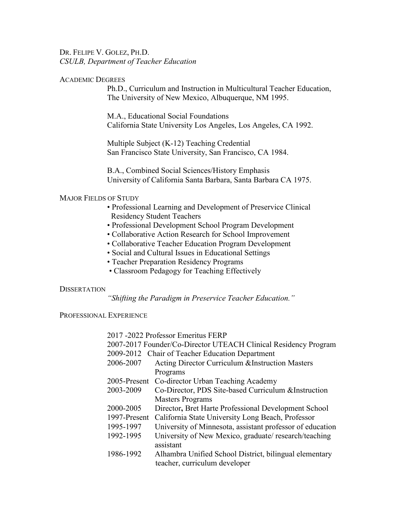DR. FELIPE V. GOLEZ, PH.D. *CSULB, Department of Teacher Education*

#### ACADEMIC DEGREES

Ph.D., Curriculum and Instruction in Multicultural Teacher Education, The University of New Mexico, Albuquerque, NM 1995.

M.A., Educational Social Foundations California State University Los Angeles, Los Angeles, CA 1992.

Multiple Subject (K-12) Teaching Credential San Francisco State University, San Francisco, CA 1984.

B.A., Combined Social Sciences/History Emphasis University of California Santa Barbara, Santa Barbara CA 1975.

### MAJOR FIELDS OF STUDY

- Professional Learning and Development of Preservice Clinical Residency Student Teachers
- Professional Development School Program Development
- Collaborative Action Research for School Improvement
- Collaborative Teacher Education Program Development
- Social and Cultural Issues in Educational Settings
- Teacher Preparation Residency Programs
- Classroom Pedagogy for Teaching Effectively

#### **DISSERTATION**

*"Shifting the Paradigm in Preservice Teacher Education."*

PROFESSIONAL EXPERIENCE

2017 -2022 Professor Emeritus FERP 2007-2017 Founder/Co-Director UTEACH Clinical Residency Program 2009-2012 Chair of Teacher Education Department 2006-2007 Acting Director Curriculum &Instruction Masters Programs 2005-Present Co-director Urban Teaching Academy 2003-2009 Co-Director, PDS Site-based Curriculum &Instruction Masters Programs 2000-2005 Director**,** Bret Harte Professional Development School 1997-Present California State University Long Beach, Professor 1995-1997 University of Minnesota, assistant professor of education 1992-1995 University of New Mexico, graduate/ research/teaching assistant 1986-1992 Alhambra Unified School District, bilingual elementary teacher, curriculum developer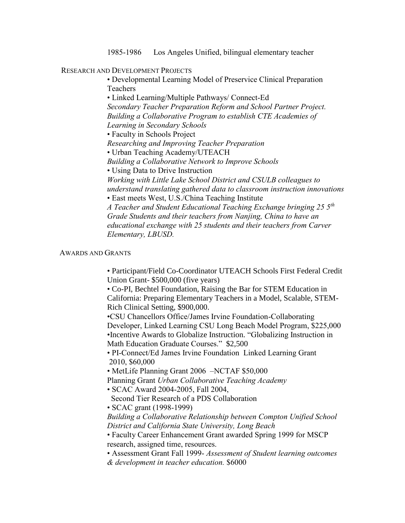1985-1986 Los Angeles Unified, bilingual elementary teacher

# RESEARCH AND DEVELOPMENT PROJECTS

• Developmental Learning Model of Preservice Clinical Preparation Teachers

• Linked Learning/Multiple Pathways/ Connect-Ed *Secondary Teacher Preparation Reform and School Partner Project. Building a Collaborative Program to establish CTE Academies of Learning in Secondary Schools*

• Faculty in Schools Project

*Researching and Improving Teacher Preparation*

• Urban Teaching Academy/UTEACH

*Building a Collaborative Network to Improve Schools*

• Using Data to Drive Instruction

*Working with Little Lake School District and CSULB colleagues to understand translating gathered data to classroom instruction innovations* • East meets West, U.S./China Teaching Institute

*A Teacher and Student Educational Teaching Exchange bringing 25 5th Grade Students and their teachers from Nanjing, China to have an educational exchange with 25 students and their teachers from Carver Elementary, LBUSD.*

# AWARDS AND GRANTS

• Participant/Field Co-Coordinator UTEACH Schools First Federal Credit Union Grant- \$500,000 (five years)

• Co-PI, Bechtel Foundation, Raising the Bar for STEM Education in California: Preparing Elementary Teachers in a Model, Scalable, STEM-Rich Clinical Setting, \$900,000.

•CSU Chancellors Office/James Irvine Foundation-Collaborating Developer, Linked Learning CSU Long Beach Model Program, \$225,000 •Incentive Awards to Globalize Instruction. "Globalizing Instruction in Math Education Graduate Courses." \$2,500

• PI-Connect/Ed James Irvine Foundation Linked Learning Grant 2010, \$60,000

• MetLife Planning Grant 2006 –NCTAF \$50,000

Planning Grant *Urban Collaborative Teaching Academy*

• SCAC Award 2004-2005, Fall 2004,

Second Tier Research of a PDS Collaboration

• SCAC grant (1998-1999)

*Building a Collaborative Relationship between Compton Unified School District and California State University, Long Beach*

• Faculty Career Enhancement Grant awarded Spring 1999 for MSCP research, assigned time, resources.

• Assessment Grant Fall 1999- *Assessment of Student learning outcomes & development in teacher education.* \$6000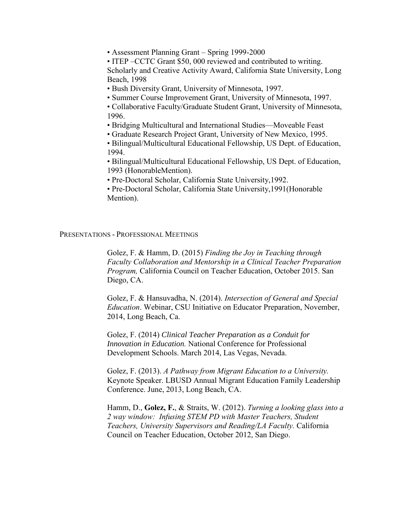• Assessment Planning Grant – Spring 1999-2000

• ITEP – CCTC Grant \$50,000 reviewed and contributed to writing. Scholarly and Creative Activity Award, California State University, Long Beach, 1998

- Bush Diversity Grant, University of Minnesota, 1997.
- Summer Course Improvement Grant, University of Minnesota, 1997.

• Collaborative Faculty/Graduate Student Grant, University of Minnesota, 1996.

• Bridging Multicultural and International Studies—Moveable Feast

- Graduate Research Project Grant, University of New Mexico, 1995.
- Bilingual/Multicultural Educational Fellowship, US Dept. of Education, 1994.

• Bilingual/Multicultural Educational Fellowship, US Dept. of Education, 1993 (HonorableMention).

• Pre-Doctoral Scholar, California State University,1992.

• Pre-Doctoral Scholar, California State University,1991(Honorable Mention).

PRESENTATIONS - PROFESSIONAL MEETINGS

Golez, F. & Hamm, D. (2015) *Finding the Joy in Teaching through Faculty Collaboration and Mentorship in a Clinical Teacher Preparation Program,* California Council on Teacher Education, October 2015. San Diego, CA.

Golez, F. & Hansuvadha, N. (2014). *Intersection of General and Special Education*. Webinar, CSU Initiative on Educator Preparation, November, 2014, Long Beach, Ca.

Golez, F. (2014) *Clinical Teacher Preparation as a Conduit for Innovation in Education.* National Conference for Professional Development Schools. March 2014, Las Vegas, Nevada.

Golez, F. (2013). *A Pathway from Migrant Education to a University.*  Keynote Speaker. LBUSD Annual Migrant Education Family Leadership Conference. June, 2013, Long Beach, CA.

Hamm, D., **Golez, F.**, & Straits, W. (2012). *Turning a looking glass into a 2 way window: Infusing STEM PD with Master Teachers, Student Teachers, University Supervisors and Reading/LA Faculty.* California Council on Teacher Education, October 2012, San Diego.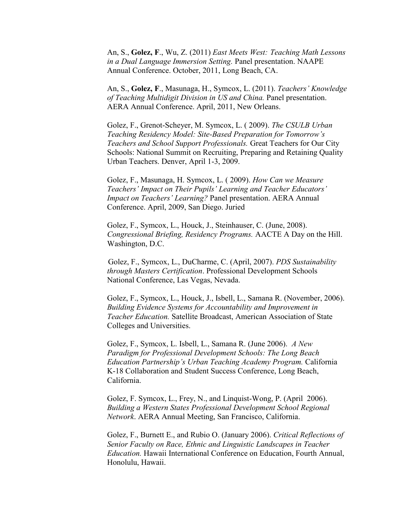An, S., **Golez, F**., Wu, Z. (2011) *East Meets West: Teaching Math Lessons in a Dual Language Immersion Setting.* Panel presentation. NAAPE Annual Conference. October, 2011, Long Beach, CA.

An, S., **Golez, F**., Masunaga, H., Symcox, L. (2011). *Teachers' Knowledge of Teaching Multidigit Division in US and China.* Panel presentation. AERA Annual Conference. April, 2011, New Orleans.

Golez, F., Grenot-Scheyer, M. Symcox, L. ( 2009). *The CSULB Urban Teaching Residency Model: Site-Based Preparation for Tomorrow's Teachers and School Support Professionals.* Great Teachers for Our City Schools: National Summit on Recruiting, Preparing and Retaining Quality Urban Teachers. Denver, April 1-3, 2009.

Golez, F., Masunaga, H. Symcox, L. ( 2009). *How Can we Measure Teachers' Impact on Their Pupils' Learning and Teacher Educators' Impact on Teachers' Learning?* Panel presentation. AERA Annual Conference. April, 2009, San Diego. Juried

Golez, F., Symcox, L., Houck, J., Steinhauser, C. (June, 2008). *Congressional Briefing, Residency Programs.* AACTE A Day on the Hill. Washington, D.C.

 Golez, F., Symcox, L., DuCharme, C. (April, 2007). *PDS Sustainability through Masters Certification*. Professional Development Schools National Conference, Las Vegas, Nevada.

Golez, F., Symcox, L., Houck, J., Isbell, L., Samana R. (November, 2006). *Building Evidence Systems for Accountability and Improvement in Teacher Education.* Satellite Broadcast, American Association of State Colleges and Universities.

Golez, F., Symcox, L. Isbell, L., Samana R. (June 2006). *A New Paradigm for Professional Development Schools: The Long Beach Education Partnership's Urban Teaching Academy Program.* California K-18 Collaboration and Student Success Conference, Long Beach, California.

Golez, F. Symcox, L., Frey, N., and Linquist-Wong, P. (April 2006). *[Building a Western States Professional Development School Regional](http://convention2.allacademic.com/one/aera/aera06/index.php?click_key=1&cmd=Multi+Search+Search+Load+Session&session_id=10782&PHPSESSID=7591355343335ead68d5f6c7763a436d)  [Network](http://convention2.allacademic.com/one/aera/aera06/index.php?click_key=1&cmd=Multi+Search+Search+Load+Session&session_id=10782&PHPSESSID=7591355343335ead68d5f6c7763a436d)*. AERA Annual Meeting, San Francisco, California.

Golez, F., Burnett E., and Rubio O. (January 2006). *Critical Reflections of Senior Faculty on Race, Ethnic and Linguistic Landscapes in Teacher Education.* Hawaii International Conference on Education, Fourth Annual, Honolulu, Hawaii.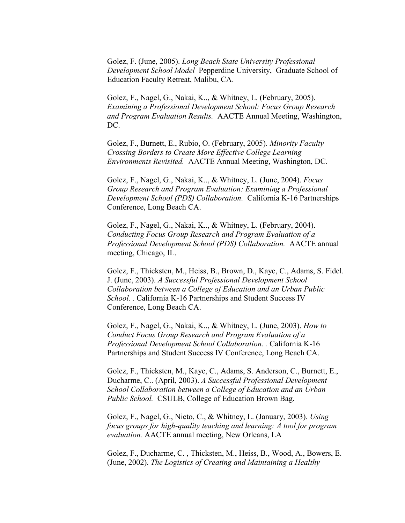Golez, F. (June, 2005). *Long Beach State University Professional Development School Model* Pepperdine University, Graduate School of Education Faculty Retreat, Malibu, CA.

Golez, F., Nagel, G., Nakai, K.., & Whitney, L. (February, 2005). *Examining a Professional Development School: Focus Group Research and Program Evaluation Results.* AACTE Annual Meeting, Washington, DC.

Golez, F., Burnett, E., Rubio, O. (February, 2005). *Minority Faculty Crossing Borders to Create More Effective College Learning Environments Revisited.* AACTE Annual Meeting, Washington, DC.

Golez, F., Nagel, G., Nakai, K.., & Whitney, L. (June, 2004). *Focus Group Research and Program Evaluation: Examining a Professional Development School (PDS) Collaboration.* California K-16 Partnerships Conference, Long Beach CA.

Golez, F., Nagel, G., Nakai, K.., & Whitney, L. (February, 2004). *Conducting Focus Group Research and Program Evaluation of a Professional Development School (PDS) Collaboration.* AACTE annual meeting, Chicago, IL.

Golez, F., Thicksten, M., Heiss, B., Brown, D., Kaye, C., Adams, S. Fidel. J. (June, 2003). *A Successful Professional Development School Collaboration between a College of Education and an Urban Public School. .* California K-16 Partnerships and Student Success IV Conference, Long Beach CA.

Golez, F., Nagel, G., Nakai, K.., & Whitney, L. (June, 2003). *How to Conduct Focus Group Research and Program Evaluation of a Professional Development School Collaboration. .* California K-16 Partnerships and Student Success IV Conference, Long Beach CA.

Golez, F., Thicksten, M., Kaye, C., Adams, S. Anderson, C., Burnett, E., Ducharme, C.. (April, 2003). *A Successful Professional Development School Collaboration between a College of Education and an Urban Public School.* CSULB, College of Education Brown Bag.

Golez, F., Nagel, G., Nieto, C., & Whitney, L. (January, 2003). *Using focus groups for high-quality teaching and learning: A tool for program evaluation.* AACTE annual meeting, New Orleans, LA

Golez, F., Ducharme, C. , Thicksten, M., Heiss, B., Wood, A., Bowers, E. (June, 2002). *The Logistics of Creating and Maintaining a Healthy*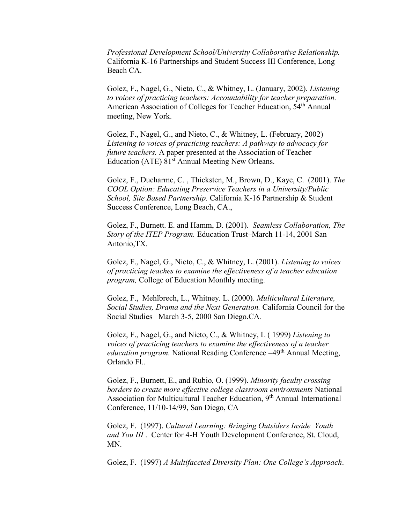*Professional Development School/University Collaborative Relationship.*  California K-16 Partnerships and Student Success III Conference, Long Beach CA.

Golez, F., Nagel, G., Nieto, C., & Whitney, L. (January, 2002). *Listening to voices of practicing teachers: Accountability for teacher preparation.*  American Association of Colleges for Teacher Education, 54<sup>th</sup> Annual meeting, New York.

Golez, F., Nagel, G., and Nieto, C., & Whitney, L. (February, 2002) *Listening to voices of practicing teachers: A pathway to advocacy for future teachers.* A paper presented at the Association of Teacher Education (ATE)  $81<sup>st</sup>$  Annual Meeting New Orleans.

Golez, F., Ducharme, C. , Thicksten, M., Brown, D., Kaye, C. (2001). *The COOL Option: Educating Preservice Teachers in a University/Public School, Site Based Partnership.* California K-16 Partnership & Student Success Conference, Long Beach, CA.,

Golez, F., Burnett. E. and Hamm, D. (2001). *Seamless Collaboration, The Story of the ITEP Program.* Education Trust–March 11-14, 2001 San Antonio,TX.

Golez, F., Nagel, G., Nieto, C., & Whitney, L. (2001). *Listening to voices of practicing teaches to examine the effectiveness of a teacher education program,* College of Education Monthly meeting.

Golez, F., Mehlbrech, L., Whitney. L. (2000). *Multicultural Literature, Social Studies, Drama and the Next Generation.* California Council for the Social Studies –March 3-5, 2000 San Diego.CA*.*

Golez, F., Nagel, G., and Nieto, C., & Whitney, L ( 1999) *Listening to voices of practicing teachers to examine the effectiveness of a teacher education program.* National Reading Conference –49<sup>th</sup> Annual Meeting, Orlando Fl..

Golez, F., Burnett, E., and Rubio, O. (1999). *Minority faculty crossing borders to create more effective college classroom environments* National Association for Multicultural Teacher Education, 9<sup>th</sup> Annual International Conference, 11/10-14/99, San Diego, CA

Golez, F. (1997). *Cultural Learning: Bringing Outsiders Inside Youth and You III* . Center for 4-H Youth Development Conference, St. Cloud, MN.

Golez, F. (1997) *A Multifaceted Diversity Plan: One College's Approach*.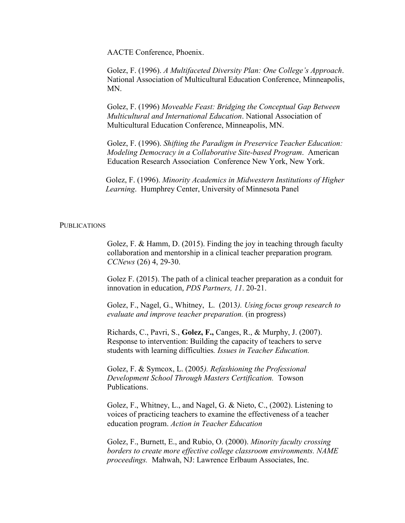AACTE Conference, Phoenix.

Golez, F. (1996). *A Multifaceted Diversity Plan: One College's Approach*. National Association of Multicultural Education Conference, Minneapolis, MN.

Golez, F. (1996) *Moveable Feast: Bridging the Conceptual Gap Between Multicultural and International Education*. National Association of Multicultural Education Conference, Minneapolis, MN.

Golez, F. (1996). *Shifting the Paradigm in Preservice Teacher Education: Modeling Democracy in a Collaborative Site-based Program*. American Education Research Association Conference New York, New York.

 Golez, F. (1996). *Minority Academics in Midwestern Institutions of Higher Learning*. Humphrey Center, University of Minnesota Panel

#### PUBLICATIONS

Golez, F. & Hamm, D. (2015). Finding the joy in teaching through faculty collaboration and mentorship in a clinical teacher preparation program*. CCNews* (26) 4, 29-30.

Golez F. (2015). The path of a clinical teacher preparation as a conduit for innovation in education, *PDS Partners, 11*. 20-21.

Golez, F., Nagel, G., Whitney, L. (2013*). Using focus group research to evaluate and improve teacher preparation.* (in progress)

Richards, C., Pavri, S., **Golez, F.,** Canges, R., & Murphy, J. (2007). Response to intervention: Building the capacity of teachers to serve students with learning difficulties*. Issues in Teacher Education.*

Golez, F. & Symcox, L. (2005*). Refashioning the Professional Development School Through Masters Certification.* Towson Publications.

Golez, F., Whitney, L., and Nagel, G. & Nieto, C., (2002). Listening to voices of practicing teachers to examine the effectiveness of a teacher education program. *Action in Teacher Education*

Golez, F., Burnett, E., and Rubio, O. (2000). *Minority faculty crossing borders to create more effective college classroom environments. NAME proceedings.* Mahwah, NJ: Lawrence Erlbaum Associates, Inc.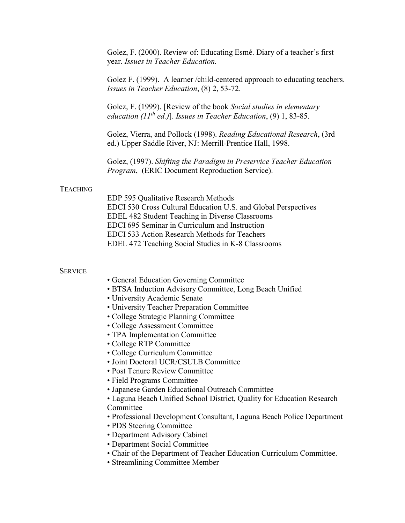|                 | Golez, F. (2000). Review of: Educating Esmé. Diary of a teacher's first<br>year. Issues in Teacher Education.                                                                                                                                                                                                      |
|-----------------|--------------------------------------------------------------------------------------------------------------------------------------------------------------------------------------------------------------------------------------------------------------------------------------------------------------------|
|                 | Golez F. (1999). A learner / child-centered approach to educating teachers.<br>Issues in Teacher Education, (8) 2, 53-72.                                                                                                                                                                                          |
|                 | Golez, F. (1999). [Review of the book Social studies in elementary<br>education (11 <sup>th</sup> ed.)]. Issues in Teacher Education, (9) 1, 83-85.                                                                                                                                                                |
|                 | Golez, Vierra, and Pollock (1998). Reading Educational Research, (3rd<br>ed.) Upper Saddle River, NJ: Merrill-Prentice Hall, 1998.                                                                                                                                                                                 |
|                 | Golez, (1997). Shifting the Paradigm in Preservice Teacher Education<br>Program, (ERIC Document Reproduction Service).                                                                                                                                                                                             |
| <b>TEACHING</b> |                                                                                                                                                                                                                                                                                                                    |
|                 | EDP 595 Qualitative Research Methods<br>EDCI 530 Cross Cultural Education U.S. and Global Perspectives<br>EDEL 482 Student Teaching in Diverse Classrooms<br>EDCI 695 Seminar in Curriculum and Instruction<br>EDCI 533 Action Research Methods for Teachers<br>EDEL 472 Teaching Social Studies in K-8 Classrooms |
| <b>SERVICE</b>  |                                                                                                                                                                                                                                                                                                                    |
|                 | • General Education Governing Committee<br>• BTSA Induction Advisory Committee, Long Beach Unified                                                                                                                                                                                                                 |
|                 | • University Academic Senate                                                                                                                                                                                                                                                                                       |
|                 | • University Teacher Preparation Committee<br>• College Strategic Planning Committee                                                                                                                                                                                                                               |
|                 | • College Assessment Committee                                                                                                                                                                                                                                                                                     |
|                 | • TPA Implementation Committee                                                                                                                                                                                                                                                                                     |
|                 | · College RTP Committee<br>• College Curriculum Committee                                                                                                                                                                                                                                                          |
|                 | • Joint Doctoral UCR/CSULB Committee                                                                                                                                                                                                                                                                               |
|                 | • Post Tenure Review Committee<br>• Field Programs Committee                                                                                                                                                                                                                                                       |
|                 | • Japanese Garden Educational Outreach Committee                                                                                                                                                                                                                                                                   |
|                 | • Laguna Beach Unified School District, Quality for Education Research                                                                                                                                                                                                                                             |
|                 | Committee<br>• Professional Development Consultant, Laguna Beach Police Department                                                                                                                                                                                                                                 |
|                 | • PDS Steering Committee                                                                                                                                                                                                                                                                                           |
|                 | • Department Advisory Cabinet                                                                                                                                                                                                                                                                                      |
|                 | • Department Social Committee<br>• Chair of the Department of Teacher Education Curriculum Committee.                                                                                                                                                                                                              |
|                 | • Streamlining Committee Member                                                                                                                                                                                                                                                                                    |
|                 |                                                                                                                                                                                                                                                                                                                    |